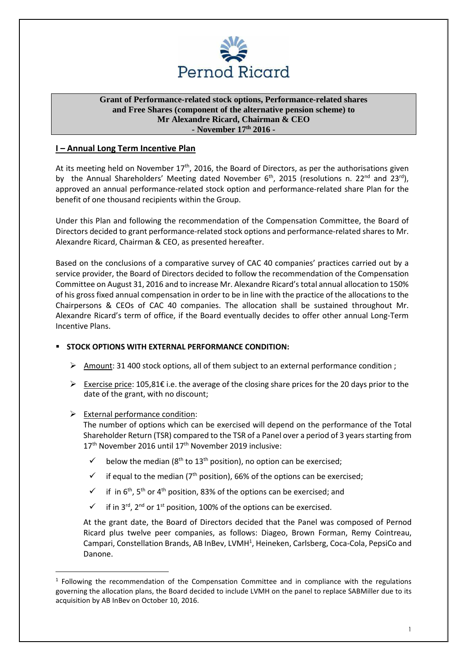

# **Grant of Performance-related stock options, Performance-related shares and Free Shares (component of the alternative pension scheme) to Mr Alexandre Ricard, Chairman & CEO - November 17th 2016 -**

# **I – Annual Long Term Incentive Plan**

At its meeting held on November  $17<sup>th</sup>$ , 2016, the Board of Directors, as per the authorisations given by the Annual Shareholders' Meeting dated November 6<sup>th</sup>, 2015 (resolutions n. 22<sup>nd</sup> and 23<sup>rd</sup>), approved an annual performance-related stock option and performance-related share Plan for the benefit of one thousand recipients within the Group.

Under this Plan and following the recommendation of the Compensation Committee, the Board of Directors decided to grant performance-related stock options and performance-related shares to Mr. Alexandre Ricard, Chairman & CEO, as presented hereafter.

Based on the conclusions of a comparative survey of CAC 40 companies' practices carried out by a service provider, the Board of Directors decided to follow the recommendation of the Compensation Committee on August 31, 2016 and to increase Mr. Alexandre Ricard's total annual allocation to 150% of his gross fixed annual compensation in order to be in line with the practice of the allocations to the Chairpersons & CEOs of CAC 40 companies. The allocation shall be sustained throughout Mr. Alexandre Ricard's term of office, if the Board eventually decides to offer other annual Long-Term Incentive Plans.

# **STOCK OPTIONS WITH EXTERNAL PERFORMANCE CONDITION:**

- > Amount: 31 400 stock options, all of them subject to an external performance condition ;
- Exercise price: 105,81€ i.e. the average of the closing share prices for the 20 days prior to the date of the grant, with no discount;
- > External performance condition:

 $\overline{a}$ 

The number of options which can be exercised will depend on the performance of the Total Shareholder Return (TSR) compared to the TSR of a Panel over a period of 3 years starting from 17<sup>th</sup> November 2016 until 17<sup>th</sup> November 2019 inclusive:

- below the median ( $8<sup>th</sup>$  to 13<sup>th</sup> position), no option can be exercised;
- $\checkmark$  if equal to the median (7<sup>th</sup> position), 66% of the options can be exercised:
- $\checkmark$  if in 6<sup>th</sup>, 5<sup>th</sup> or 4<sup>th</sup> position, 83% of the options can be exercised; and
- $\checkmark$  if in 3<sup>rd</sup>, 2<sup>nd</sup> or 1<sup>st</sup> position, 100% of the options can be exercised.

At the grant date, the Board of Directors decided that the Panel was composed of Pernod Ricard plus twelve peer companies, as follows: Diageo, Brown Forman, Remy Cointreau, Campari, Constellation Brands, AB InBev, LVMH<sup>1</sup>, Heineken, Carlsberg, Coca-Cola, PepsiCo and Danone.

<sup>&</sup>lt;sup>1</sup> Following the recommendation of the Compensation Committee and in compliance with the regulations governing the allocation plans, the Board decided to include LVMH on the panel to replace SABMiller due to its acquisition by AB InBev on October 10, 2016.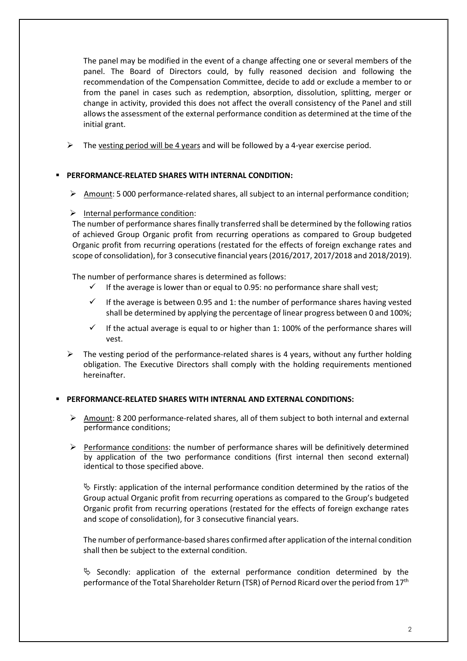The panel may be modified in the event of a change affecting one or several members of the panel. The Board of Directors could, by fully reasoned decision and following the recommendation of the Compensation Committee, decide to add or exclude a member to or from the panel in cases such as redemption, absorption, dissolution, splitting, merger or change in activity, provided this does not affect the overall consistency of the Panel and still allows the assessment of the external performance condition as determined at the time of the initial grant.

 $\blacktriangleright$ The vesting period will be 4 years and will be followed by a 4-year exercise period.

# **PERFORMANCE-RELATED SHARES WITH INTERNAL CONDITION:**

> Amount: 5 000 performance-related shares, all subject to an internal performance condition;

# > Internal performance condition:

The number of performance shares finally transferred shall be determined by the following ratios of achieved Group Organic profit from recurring operations as compared to Group budgeted Organic profit from recurring operations (restated for the effects of foreign exchange rates and scope of consolidation), for 3 consecutive financial years (2016/2017, 2017/2018 and 2018/2019).

The number of performance shares is determined as follows:

- $\checkmark$  If the average is lower than or equal to 0.95: no performance share shall vest;
- If the average is between 0.95 and 1: the number of performance shares having vested shall be determined by applying the percentage of linear progress between 0 and 100%;
- $\checkmark$  If the actual average is equal to or higher than 1: 100% of the performance shares will vest.
- $\blacktriangleright$  The vesting period of the performance-related shares is 4 years, without any further holding obligation. The Executive Directors shall comply with the holding requirements mentioned hereinafter.

# **PERFORMANCE-RELATED SHARES WITH INTERNAL AND EXTERNAL CONDITIONS:**

- > Amount: 8 200 performance-related shares, all of them subject to both internal and external performance conditions;
- Performance conditions: the number of performance shares will be definitively determined by application of the two performance conditions (first internal then second external) identical to those specified above.

 $\uplus$  Firstly: application of the internal performance condition determined by the ratios of the Group actual Organic profit from recurring operations as compared to the Group's budgeted Organic profit from recurring operations (restated for the effects of foreign exchange rates and scope of consolidation), for 3 consecutive financial years.

The number of performance-based shares confirmed after application of the internal condition shall then be subject to the external condition.

 $\&$  Secondly: application of the external performance condition determined by the performance of the Total Shareholder Return (TSR) of Pernod Ricard over the period from 17<sup>th</sup>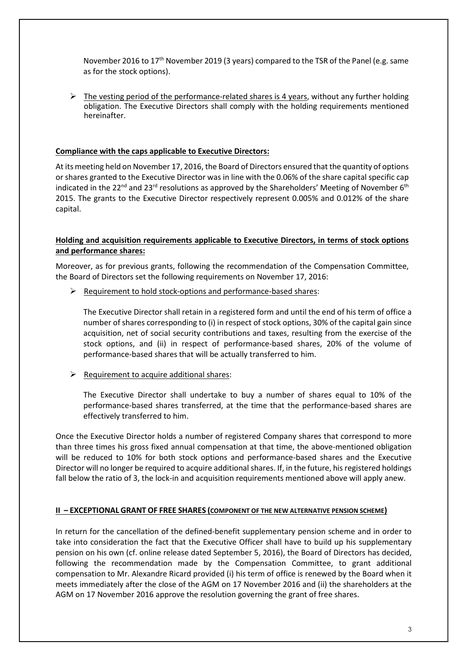November 2016 to 17<sup>th</sup> November 2019 (3 years) compared to the TSR of the Panel (e.g. same as for the stock options).

> The vesting period of the performance-related shares is 4 years, without any further holding obligation. The Executive Directors shall comply with the holding requirements mentioned hereinafter.

#### **Compliance with the caps applicable to Executive Directors:**

At its meeting held on November 17, 2016, the Board of Directors ensured that the quantity of options or shares granted to the Executive Director was in line with the 0.06% of the share capital specific cap indicated in the 22<sup>nd</sup> and 23<sup>rd</sup> resolutions as approved by the Shareholders' Meeting of November 6<sup>th</sup> 2015. The grants to the Executive Director respectively represent 0.005% and 0.012% of the share capital.

# **Holding and acquisition requirements applicable to Executive Directors, in terms of stock options and performance shares:**

Moreover, as for previous grants, following the recommendation of the Compensation Committee, the Board of Directors set the following requirements on November 17, 2016:

P Requirement to hold stock-options and performance-based shares:

The Executive Director shall retain in a registered form and until the end of his term of office a number of shares corresponding to (i) in respect of stock options, 30% of the capital gain since acquisition, net of social security contributions and taxes, resulting from the exercise of the stock options, and (ii) in respect of performance-based shares, 20% of the volume of performance-based shares that will be actually transferred to him.

P Requirement to acquire additional shares:

The Executive Director shall undertake to buy a number of shares equal to 10% of the performance-based shares transferred, at the time that the performance-based shares are effectively transferred to him.

Once the Executive Director holds a number of registered Company shares that correspond to more than three times his gross fixed annual compensation at that time, the above-mentioned obligation will be reduced to 10% for both stock options and performance-based shares and the Executive Director will no longer be required to acquire additional shares. If, in the future, his registered holdings fall below the ratio of 3, the lock-in and acquisition requirements mentioned above will apply anew.

# **II – EXCEPTIONAL GRANT OF FREE SHARES (COMPONENT OF THE NEW ALTERNATIVE PENSION SCHEME)**

In return for the cancellation of the defined-benefit supplementary pension scheme and in order to take into consideration the fact that the Executive Officer shall have to build up his supplementary pension on his own (cf. online release dated September 5, 2016), the Board of Directors has decided, following the recommendation made by the Compensation Committee, to grant additional compensation to Mr. Alexandre Ricard provided (i) his term of office is renewed by the Board when it meets immediately after the close of the AGM on 17 November 2016 and (ii) the shareholders at the AGM on 17 November 2016 approve the resolution governing the grant of free shares.